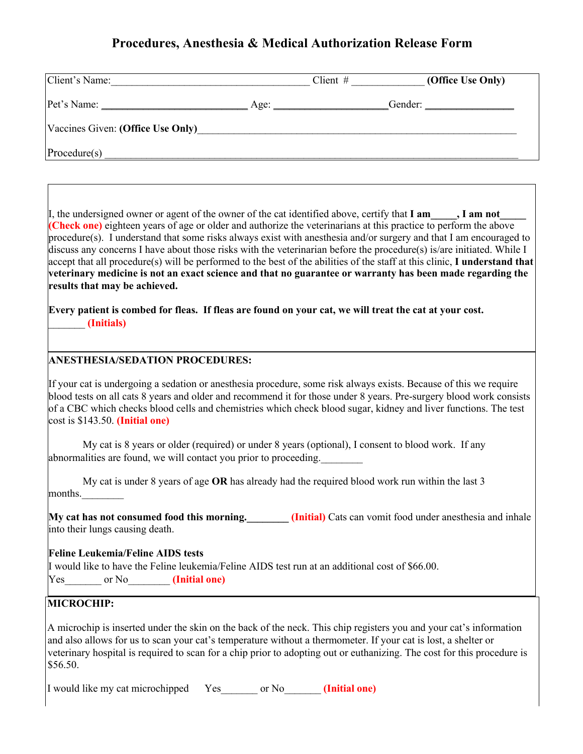# **Procedures, Anesthesia & Medical Authorization Release Form**

| Client's Name:                    |      | Client $#$ | (Office Use Only) |
|-----------------------------------|------|------------|-------------------|
| Pet's Name: _                     | Age: |            | Gender:           |
| Vaccines Given: (Office Use Only) |      |            |                   |
| Procedure(s)                      |      |            |                   |

I, the undersigned owner or agent of the owner of the cat identified above, certify that **I am\_\_\_\_\_, I am not (Check one)** eighteen years of age or older and authorize the veterinarians at this practice to perform the above procedure(s). I understand that some risks always exist with anesthesia and/or surgery and that I am encouraged to discuss any concerns I have about those risks with the veterinarian before the procedure(s) is/are initiated. While I accept that all procedure(s) will be performed to the best of the abilities of the staff at this clinic, **I understand that veterinary medicine is not an exact science and that no guarantee or warranty has been made regarding the results that may be achieved.**

**Every patient is combed for fleas. If fleas are found on your cat, we will treat the cat at your cost.**  \_\_\_\_\_\_\_ **(Initials)**

#### **ANESTHESIA/SEDATION PROCEDURES:**

If your cat is undergoing a sedation or anesthesia procedure, some risk always exists. Because of this we require blood tests on all cats 8 years and older and recommend it for those under 8 years. Pre-surgery blood work consists of a CBC which checks blood cells and chemistries which check blood sugar, kidney and liver functions. The test cost is \$143.50. **(Initial one)**

My cat is 8 years or older (required) or under 8 years (optional), I consent to blood work. If any abnormalities are found, we will contact you prior to proceeding.

My cat is under 8 years of age **OR** has already had the required blood work run within the last 3 months.\_\_\_\_\_\_\_\_

**My cat has not consumed food this morning.** (Initial) Cats can vomit food under anesthesia and inhale into their lungs causing death.

#### **Feline Leukemia/Feline AIDS tests**

I would like to have the Feline leukemia/Feline AIDS test run at an additional cost of \$66.00. Yes or No<sub>llet</sub> **(Initial one)** 

### **MICROCHIP:**

A microchip is inserted under the skin on the back of the neck. This chip registers you and your cat's information and also allows for us to scan your cat's temperature without a thermometer. If your cat is lost, a shelter or veterinary hospital is required to scan for a chip prior to adopting out or euthanizing. The cost for this procedure is \$56.50.

I would like my cat microchipped Yes\_\_\_\_\_\_\_ or No\_\_\_\_\_\_\_ **(Initial one)**